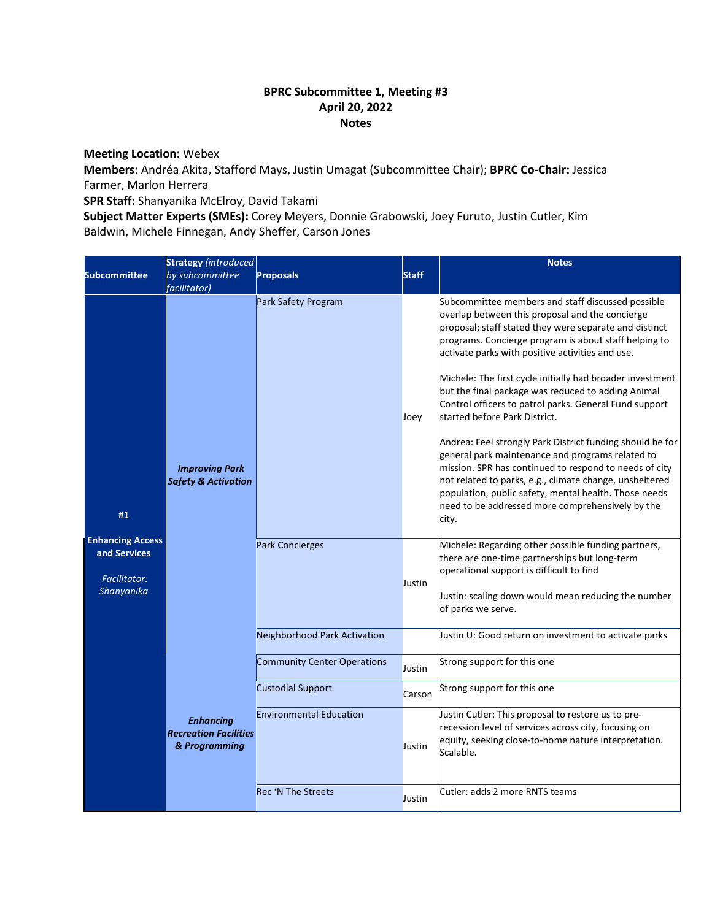## **BPRC Subcommittee 1, Meeting #3 April 20, 2022 Notes**

## **Meeting Location:** Webex

**Members:** Andréa Akita, Stafford Mays, Justin Umagat (Subcommittee Chair); **BPRC Co-Chair:** Jessica Farmer, Marlon Herrera

**SPR Staff:** Shanyanika McElroy, David Takami

**Subject Matter Experts (SMEs):** Corey Meyers, Donnie Grabowski, Joey Furuto, Justin Cutler, Kim Baldwin, Michele Finnegan, Andy Sheffer, Carson Jones

| <b>Subcommittee</b>                                                          | <b>Strategy</b> (introduced<br>by subcommittee<br><i>facilitator</i> ) | <b>Proposals</b>                   | <b>Staff</b> | <b>Notes</b>                                                                                                                                                                                                                                                                                                                                                                                                                                                                                                                                                                                                                                                                                                                                                                                                                                          |
|------------------------------------------------------------------------------|------------------------------------------------------------------------|------------------------------------|--------------|-------------------------------------------------------------------------------------------------------------------------------------------------------------------------------------------------------------------------------------------------------------------------------------------------------------------------------------------------------------------------------------------------------------------------------------------------------------------------------------------------------------------------------------------------------------------------------------------------------------------------------------------------------------------------------------------------------------------------------------------------------------------------------------------------------------------------------------------------------|
| #1                                                                           | <b>Improving Park</b><br><b>Safety &amp; Activation</b>                | Park Safety Program                | Joey         | Subcommittee members and staff discussed possible<br>overlap between this proposal and the concierge<br>proposal; staff stated they were separate and distinct<br>programs. Concierge program is about staff helping to<br>activate parks with positive activities and use.<br>Michele: The first cycle initially had broader investment<br>but the final package was reduced to adding Animal<br>Control officers to patrol parks. General Fund support<br>started before Park District.<br>Andrea: Feel strongly Park District funding should be for<br>general park maintenance and programs related to<br>mission. SPR has continued to respond to needs of city<br>not related to parks, e.g., climate change, unsheltered<br>population, public safety, mental health. Those needs<br>need to be addressed more comprehensively by the<br>city. |
| <b>Enhancing Access</b><br>and Services<br><b>Facilitator:</b><br>Shanyanika |                                                                        | <b>Park Concierges</b>             | Justin       | Michele: Regarding other possible funding partners,<br>there are one-time partnerships but long-term<br>operational support is difficult to find<br>Justin: scaling down would mean reducing the number<br>of parks we serve.                                                                                                                                                                                                                                                                                                                                                                                                                                                                                                                                                                                                                         |
|                                                                              |                                                                        | Neighborhood Park Activation       |              | Justin U: Good return on investment to activate parks                                                                                                                                                                                                                                                                                                                                                                                                                                                                                                                                                                                                                                                                                                                                                                                                 |
|                                                                              | <b>Enhancing</b><br><b>Recreation Facilities</b><br>& Programming      | <b>Community Center Operations</b> | Justin       | Strong support for this one                                                                                                                                                                                                                                                                                                                                                                                                                                                                                                                                                                                                                                                                                                                                                                                                                           |
|                                                                              |                                                                        | <b>Custodial Support</b>           | Carson       | Strong support for this one                                                                                                                                                                                                                                                                                                                                                                                                                                                                                                                                                                                                                                                                                                                                                                                                                           |
|                                                                              |                                                                        | <b>Environmental Education</b>     | Justin       | Justin Cutler: This proposal to restore us to pre-<br>recession level of services across city, focusing on<br>equity, seeking close-to-home nature interpretation.<br>Scalable.                                                                                                                                                                                                                                                                                                                                                                                                                                                                                                                                                                                                                                                                       |
|                                                                              |                                                                        | <b>Rec 'N The Streets</b>          | Justin       | Cutler: adds 2 more RNTS teams                                                                                                                                                                                                                                                                                                                                                                                                                                                                                                                                                                                                                                                                                                                                                                                                                        |